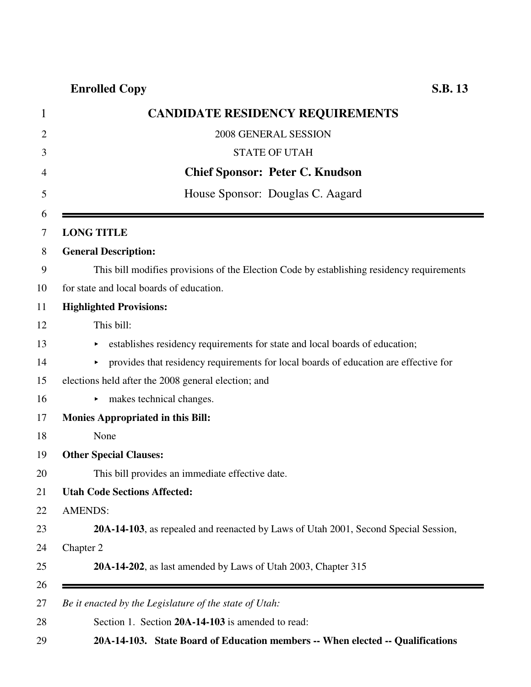## **Enrolled Copy S.B. 13**

|                | <b>CANDIDATE RESIDENCY REQUIREMENTS</b>                                                   |
|----------------|-------------------------------------------------------------------------------------------|
|                | 2008 GENERAL SESSION                                                                      |
|                | <b>STATE OF UTAH</b>                                                                      |
|                | <b>Chief Sponsor: Peter C. Knudson</b>                                                    |
|                | House Sponsor: Douglas C. Aagard                                                          |
|                |                                                                                           |
|                | <b>LONG TITLE</b>                                                                         |
|                | <b>General Description:</b>                                                               |
|                | This bill modifies provisions of the Election Code by establishing residency requirements |
|                | for state and local boards of education.                                                  |
|                | <b>Highlighted Provisions:</b>                                                            |
|                | This bill:                                                                                |
|                | establishes residency requirements for state and local boards of education;               |
|                | provides that residency requirements for local boards of education are effective for      |
|                | elections held after the 2008 general election; and                                       |
|                | makes technical changes.                                                                  |
|                | <b>Monies Appropriated in this Bill:</b>                                                  |
|                | None                                                                                      |
|                | <b>Other Special Clauses:</b>                                                             |
|                | This bill provides an immediate effective date.                                           |
|                | <b>Utah Code Sections Affected:</b>                                                       |
| <b>AMENDS:</b> |                                                                                           |
|                | 20A-14-103, as repealed and reenacted by Laws of Utah 2001, Second Special Session,       |
| Chapter 2      |                                                                                           |
|                | 20A-14-202, as last amended by Laws of Utah 2003, Chapter 315                             |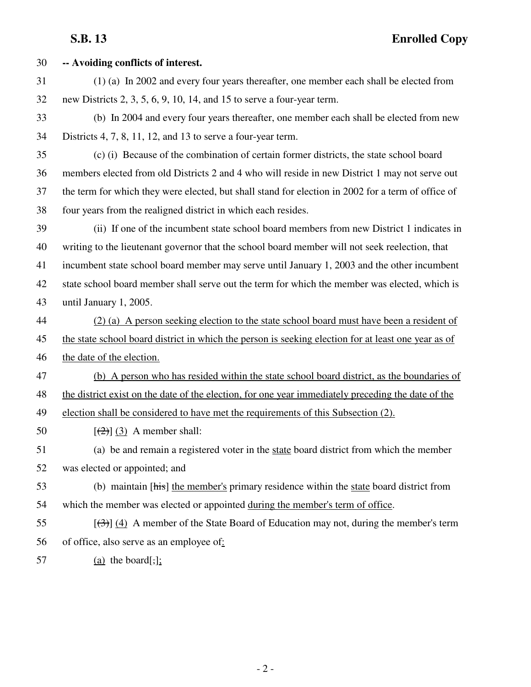| 30 | -- Avoiding conflicts of interest.                                                                        |
|----|-----------------------------------------------------------------------------------------------------------|
| 31 | (1) (a) In 2002 and every four years thereafter, one member each shall be elected from                    |
| 32 | new Districts $2, 3, 5, 6, 9, 10, 14$ , and 15 to serve a four-year term.                                 |
| 33 | (b) In 2004 and every four years thereafter, one member each shall be elected from new                    |
| 34 | Districts $4, 7, 8, 11, 12,$ and 13 to serve a four-year term.                                            |
| 35 | (c) (i) Because of the combination of certain former districts, the state school board                    |
| 36 | members elected from old Districts 2 and 4 who will reside in new District 1 may not serve out            |
| 37 | the term for which they were elected, but shall stand for election in 2002 for a term of office of        |
| 38 | four years from the realigned district in which each resides.                                             |
| 39 | (ii) If one of the incumbent state school board members from new District 1 indicates in                  |
| 40 | writing to the lieutenant governor that the school board member will not seek reelection, that            |
| 41 | incumbent state school board member may serve until January 1, 2003 and the other incumbent               |
| 42 | state school board member shall serve out the term for which the member was elected, which is             |
| 43 | until January 1, 2005.                                                                                    |
| 44 | (2) (a) A person seeking election to the state school board must have been a resident of                  |
| 45 | the state school board district in which the person is seeking election for at least one year as of       |
| 46 | the date of the election.                                                                                 |
| 47 | (b) A person who has resided within the state school board district, as the boundaries of                 |
| 48 | the district exist on the date of the election, for one year immediately preceding the date of the        |
| 49 | election shall be considered to have met the requirements of this Subsection (2).                         |
| 50 | $[\frac{2}{2}]$ (3) A member shall:                                                                       |
| 51 | (a) be and remain a registered voter in the state board district from which the member                    |
| 52 | was elected or appointed; and                                                                             |
| 53 | (b) maintain [his] the member's primary residence within the state board district from                    |
| 54 | which the member was elected or appointed during the member's term of office.                             |
| 55 | $\left[\frac{1}{2}\right]$ (4) A member of the State Board of Education may not, during the member's term |
| 56 | of office, also serve as an employee of:                                                                  |
| 57 | $(a)$ the board[,];                                                                                       |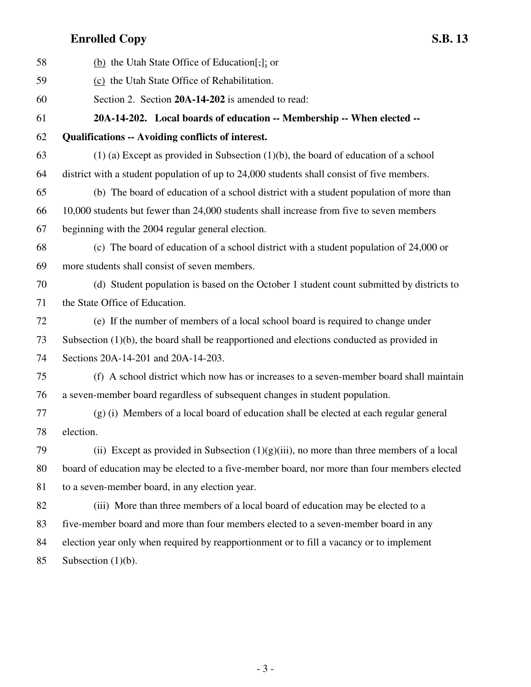## **Enrolled Copy S.B. 13**

| 58 | (b) the Utah State Office of Education[,]; or                                                 |
|----|-----------------------------------------------------------------------------------------------|
| 59 | (c) the Utah State Office of Rehabilitation.                                                  |
| 60 | Section 2. Section 20A-14-202 is amended to read:                                             |
| 61 | 20A-14-202. Local boards of education -- Membership -- When elected --                        |
| 62 | <b>Qualifications -- Avoiding conflicts of interest.</b>                                      |
| 63 | $(1)$ (a) Except as provided in Subsection $(1)(b)$ , the board of education of a school      |
| 64 | district with a student population of up to 24,000 students shall consist of five members.    |
| 65 | (b) The board of education of a school district with a student population of more than        |
| 66 | 10,000 students but fewer than 24,000 students shall increase from five to seven members      |
| 67 | beginning with the 2004 regular general election.                                             |
| 68 | (c) The board of education of a school district with a student population of 24,000 or        |
| 69 | more students shall consist of seven members.                                                 |
| 70 | (d) Student population is based on the October 1 student count submitted by districts to      |
| 71 | the State Office of Education.                                                                |
| 72 | (e) If the number of members of a local school board is required to change under              |
| 73 | Subsection $(1)(b)$ , the board shall be reapportioned and elections conducted as provided in |
| 74 | Sections 20A-14-201 and 20A-14-203.                                                           |
| 75 | (f) A school district which now has or increases to a seven-member board shall maintain       |
| 76 | a seven-member board regardless of subsequent changes in student population.                  |
| 77 | (g) (i) Members of a local board of education shall be elected at each regular general        |
| 78 | election.                                                                                     |
| 79 | (ii) Except as provided in Subsection $(1)(g)(iii)$ , no more than three members of a local   |
| 80 | board of education may be elected to a five-member board, nor more than four members elected  |
| 81 | to a seven-member board, in any election year.                                                |
| 82 | (iii) More than three members of a local board of education may be elected to a               |
| 83 | five-member board and more than four members elected to a seven-member board in any           |
| 84 | election year only when required by reapportionment or to fill a vacancy or to implement      |
| 85 | Subsection $(1)(b)$ .                                                                         |